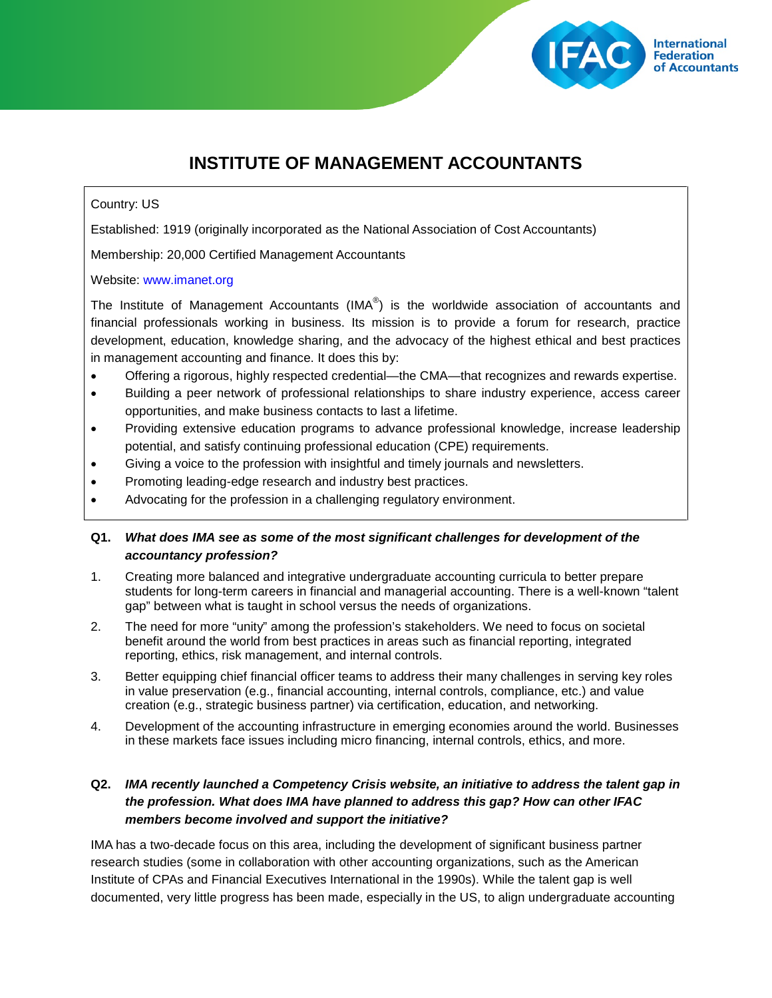

# **INSTITUTE OF MANAGEMENT ACCOUNTANTS**

### Country: US

Established: 1919 (originally incorporated as the National Association of Cost Accountants)

Membership: 20,000 Certified Management Accountants

#### Website: [www.imanet.org](http://www.imanet.org/)

The Institute of Management Accountants (IMA $^{\circledast}$ ) is the worldwide association of accountants and financial professionals working in business. Its mission is to provide a forum for research, practice development, education, knowledge sharing, and the advocacy of the highest ethical and best practices in management accounting and finance. It does this by:

- Offering a rigorous, highly respected credential—the CMA—that recognizes and rewards expertise.
- Building a peer network of professional relationships to share industry experience, access career opportunities, and make business contacts to last a lifetime.
- Providing extensive education programs to advance professional knowledge, increase leadership potential, and satisfy continuing professional education (CPE) requirements.
- Giving a voice to the profession with insightful and timely journals and newsletters.
- Promoting leading-edge research and industry best practices.
- Advocating for the profession in a challenging regulatory environment.

## **Q1.** *What does IMA see as some of the most significant challenges for development of the accountancy profession?*

- 1. Creating more balanced and integrative undergraduate accounting curricula to better prepare students for long-term careers in financial and managerial accounting. There is a well-known "talent gap" between what is taught in school versus the needs of organizations.
- 2. The need for more "unity" among the profession's stakeholders. We need to focus on societal benefit around the world from best practices in areas such as financial reporting, integrated reporting, ethics, risk management, and internal controls.
- 3. Better equipping chief financial officer teams to address their many challenges in serving key roles in value preservation (e.g., financial accounting, internal controls, compliance, etc.) and value creation (e.g., strategic business partner) via certification, education, and networking.
- 4. Development of the accounting infrastructure in emerging economies around the world. Businesses in these markets face issues including micro financing, internal controls, ethics, and more.

## **Q2.** *IMA recently launched a Competency Crisis website, an initiative to address the talent gap in the profession. What does IMA have planned to address this gap? How can other IFAC members become involved and support the initiative?*

IMA has a two-decade focus on this area, including the development of significant business partner research studies (some in collaboration with other accounting organizations, such as the American Institute of CPAs and Financial Executives International in the 1990s). While the talent gap is well documented, very little progress has been made, especially in the US, to align undergraduate accounting